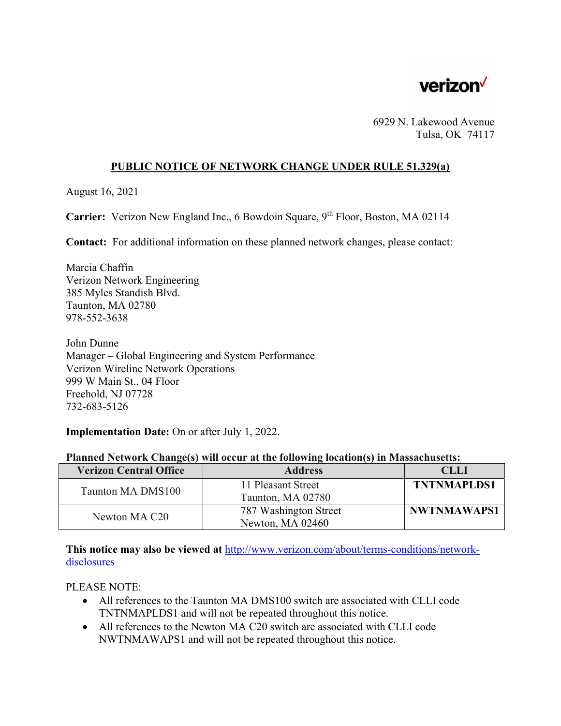

6929 N. Lakewood Avenue Tulsa, OK 74117

## **PUBLIC NOTICE OF NETWORK CHANGE UNDER RULE 51.329(a)**

August 16, 2021

**Carrier:** Verizon New England Inc., 6 Bowdoin Square, 9<sup>th</sup> Floor, Boston, MA 02114

**Contact:** For additional information on these planned network changes, please contact:

Marcia Chaffin Verizon Network Engineering 385 Myles Standish Blvd. Taunton, MA 02780 978-552-3638

John Dunne Manager – Global Engineering and System Performance Verizon Wireline Network Operations 999 W Main St., 04 Floor Freehold, NJ 07728 732-683-5126

**Implementation Date:** On or after July 1, 2022.

|  |  |  |  | Planned Network Change(s) will occur at the following location(s) in Massachusetts: |
|--|--|--|--|-------------------------------------------------------------------------------------|
|  |  |  |  |                                                                                     |

| <b>Verizon Central Office</b> | <b>Address</b>        | <b>CLLI</b>        |
|-------------------------------|-----------------------|--------------------|
| Taunton MA DMS100             | 11 Pleasant Street    | <b>TNTNMAPLDS1</b> |
|                               | Taunton, MA 02780     |                    |
| Newton MA C20                 | 787 Washington Street | <b>NWTNMAWAPS1</b> |
|                               | Newton, MA 02460      |                    |

**This notice may also be viewed at** http://www.verizon.com/about/terms-conditions/networkdisclosures

PLEASE NOTE:

- All references to the Taunton MA DMS100 switch are associated with CLLI code TNTNMAPLDS1 and will not be repeated throughout this notice.
- All references to the Newton MA C20 switch are associated with CLLI code NWTNMAWAPS1 and will not be repeated throughout this notice.